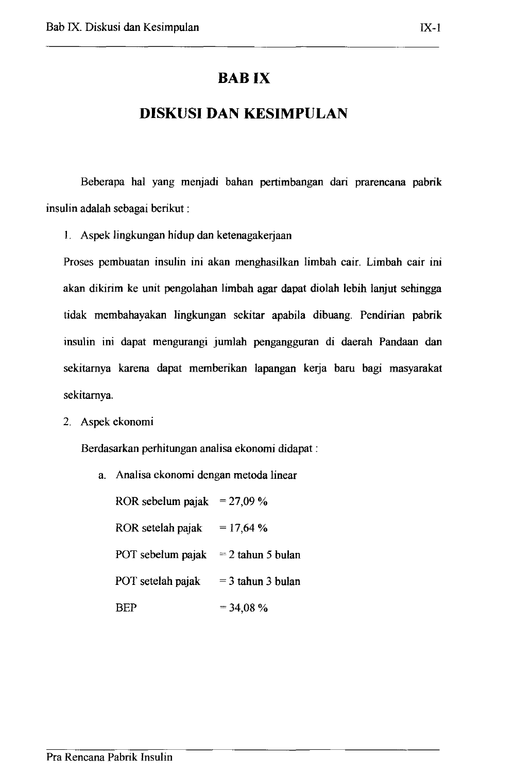## **BABIX**

## **DISKUSI DAN KESIMPULAN**

Beberapa hal yang menjadi bahan pertimbangan dari prarencana pabrik insulin adalah sebagai berikut :

I. Aspek lingkungan hidup dan ketenagaketjaan

Proses pembuatan insulin ini akan menghasilkan limbah cair. Limbah cair ini akan dikirim ke unit pengolahan limbah agar dapat diolah lebih lanjut sehingga tidak mcmbahayakan lingkungan sekitar apabila dibuang. Pendirian pabrik insulin ini dapat mengurangi jumlah pengangguran di daerah Pandaan dan sekitarnya karena dapat memberikan lapangan kerja baru bagi masyarakat sekitamya.

2. Aspek ekonomi

Berdasarkan perhitungan analisa ekonomi didapat :

a. Analisa ekonomi dengan metoda linear

ROR sebelum pajak =  $27,09\%$ ROR setelah pajak = 17,64 % POT sebelum pajak  $= 2$  tahun 5 bulan POT setelah pajak  $= 3$  tahun 3 bulan BEP  $= 34.08 \%$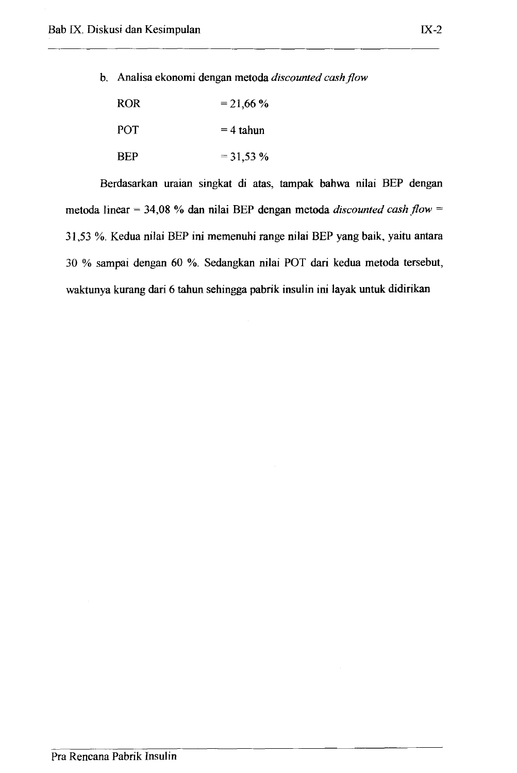b. Analisa ekonomi dengan metoda *discounted cash flow* 

| <b>ROR</b> | $= 21,66%$  |
|------------|-------------|
| <b>POT</b> | $=$ 4 tahun |
| <b>BEP</b> | $= 31,53%$  |

Berdasarkan uraian singkat di atas, tampak bahwa nilai BEP dengan metoda linear = 34,08 % dan nilai BEP dengan metoda *discounted cash flow* <sup>=</sup> 31,53 %. Kedua nilai BEP ini memenuhi range nilai BEP yang baik, yaitu antara 30 % sampai dengan 60 %. Sedangkan nilai POT dari kedua metoda tersebut, waktunya kurang dari 6 tahun sehingga pabrik insulin ini layak untuk didirikan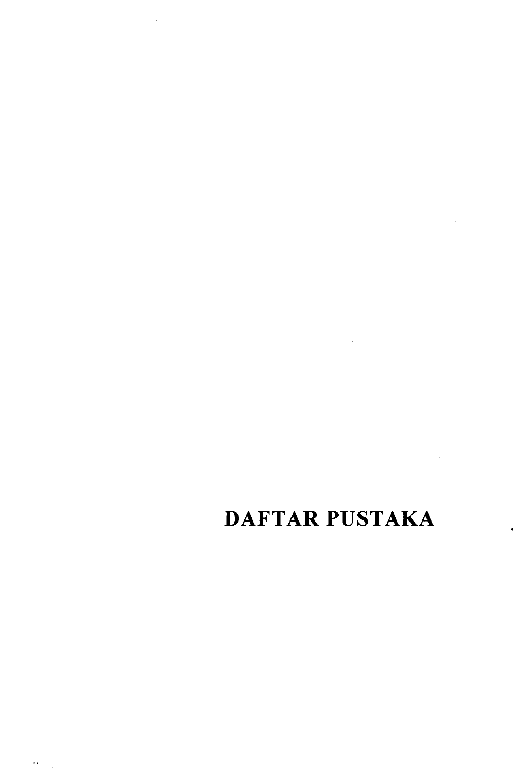## DAFTAR PUSTAKA

 $\sim 10^6$ 

 $\mathcal{L}^{\text{max}}_{\text{max}}$  ,  $\mathcal{L}^{\text{max}}_{\text{max}}$ 

 $\mathcal{L}_{\mathcal{A}}$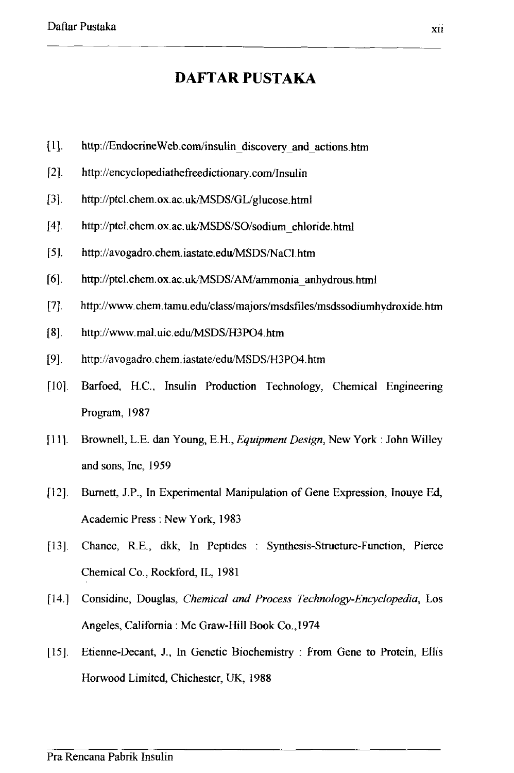## **DAFT AR PUSTAKA**

- [1]. http://EndocrineWeb.com/insulin\_discovery \_and \_ actions.htm
- $[2]$ . http://encyclopediathefreedictionary.com/Insulin
- [3]. http://ptcl.chem.ox.ac.uk/MSDS/GL/glucose.html
- [4]. http://ptcl.chem.ox.ac.uk/MSDS/SO/sodium\_chloride.html
- [5]. http://avogadro.chem.iastate.edu/MSDS/NaCl.htm
- [6]. http://ptcl.chem.ox.ac.uk/MSDS/AM/ammonia\_anhydrous.html
- [7]. http://www.chem.tamu.edu/class/majors/msdsfiles/msdssodiumhydroxide.htm
- [8]. http://www.mal.uic.edu/MSDS/H3PO4.htm
- [9]. http://avogadro.chem.iastate/edulMSDS/H3P04.htm
- [10]. Barfoed, H.C., Insulin Production Technology, Chemical Engineering Program, 1987
- [11]. Brownell, L.E. dan Young, E.H., *EqUipment Design,* New York: John Willey and sons, Inc, 1959
- [12]. Burnett, J.P., In Experimental Manipulation of Gene Expression, Inouye Ed, Academic Press: New York, 1983
- [13]. Chance, RE., dkk, In Peptides Synthesis-Structure-Function, Pierce Chemical Co., Rockford, IL, 1981
- [14.] Considine, Douglas, *Chemical and Process Technology-Encyclopedia,* Los Angeles, California: Mc Graw-Hill Book Co.,1974
- [15]. Etienne-Decant, J., In Genetic Biochemistry: From Gene to Protein, Ellis Horwood Limited, Chichester, UK, 1988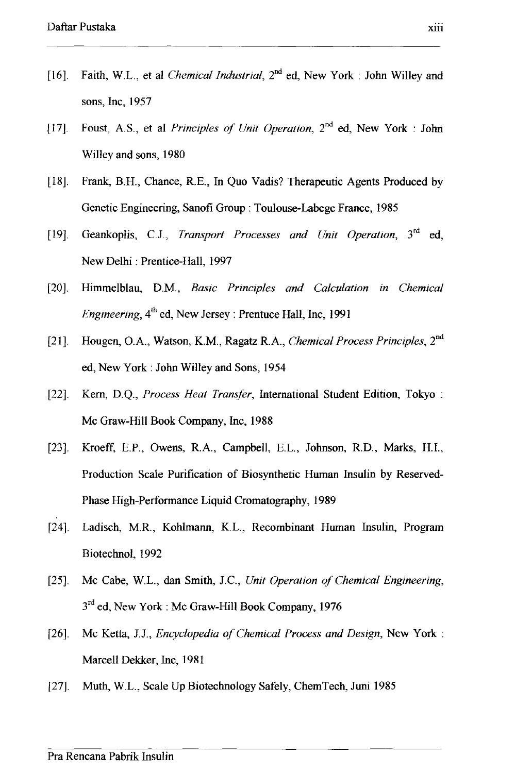- [16]. Faith, W.L., et al *Chemical Industrial*,  $2^{nd}$  ed, New York: John Willey and sons, Inc, 1957
- [17]. Foust, AS., et al *Principles of Unit Operation,* 2nd ed, New York: John Willey and sons, 1980
- [18]. Frank, B.H., Chance, R.E., In Quo Vadis? Therapeutic Agents Produced by Genetic Engineering, Sanofi Group: Toulouse-Labege France, 1985
- [19]. Geankoplis, CJ., *Transport Processes and Unit Operation,* 3rd ed, New Delhi: Prentice-Hall, 1997
- [20]. Himmelblau, D.M., *Basic Principles and Calculation in Chemical Engineering,*  $4^{th}$  ed, New Jersey: Prentuce Hall, Inc, 1991
- [21]. Hougen, o.A., Watson, K.M., Ragatz RA, *Chemical Process Principles,* 2nd ed, New York: John Willey and Sons, 1954
- [22]. Kern, D.Q., *Process Heat Transfer,* International Student Edition, Tokyo: Mc Graw-Hill Book Company, Inc, 1988
- [23]. Kroeff, E.P., Owens, R.A., Campbell, E.L., Johnson, R.D., Marks, H.I., Production Scale Purification of Biosynthetic Human Insulin by Reserved-Phase High-Performance Liquid Cromatography, 1989
- [24]. Ladisch, M.R, Kohlmann, K.L., Recombinant Human Insulin, Program Biotechnol, 1992
- [25]. Mc Cabe, W.L., dan Smith, J.C, *Unit Operation of Chemical Engineering,*   $3<sup>rd</sup>$  ed, New York: Mc Graw-Hill Book Company, 1976
- [26]. Mc Ketta, J.J., *Encyclopedia of Chemical Process and Design*, New York: Marcell Dekker, Inc, 1981
- [27]. Muth, W.L., Scale Up Biotechnology Safely, ChemTech, Juni 1985